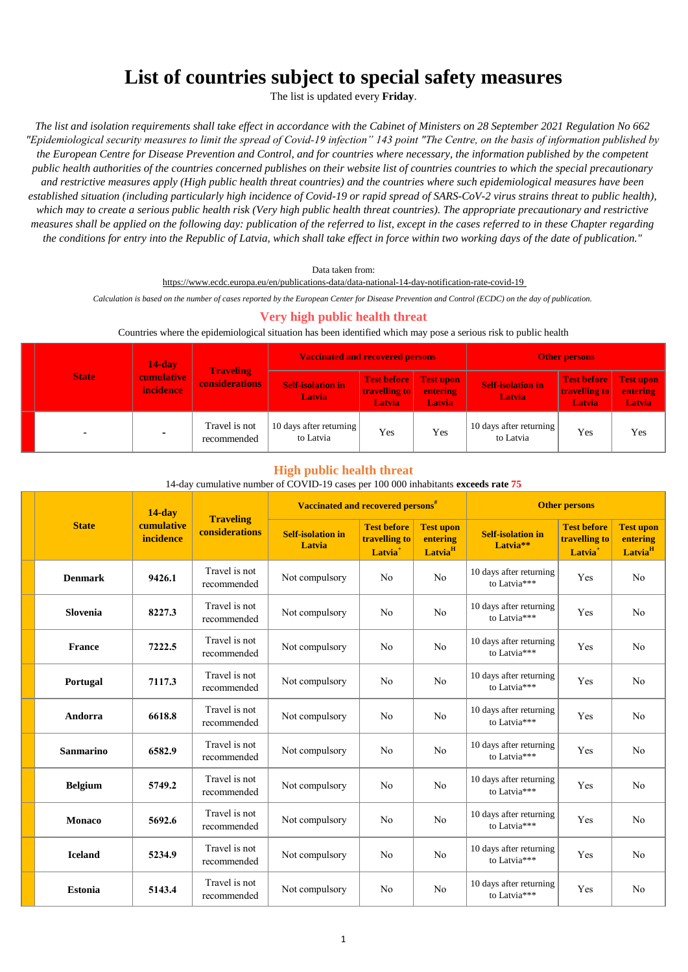# **List of countries subject to special safety measures**

The list is updated every **Friday**.

*The list and isolation requirements shall take effect in accordance with the Cabinet of Ministers on 28 September 2021 Regulation No 662 "Epidemiological security measures to limit the spread of Covid-19 infection" 143 point "The Centre, on the basis of information published by the European Centre for Disease Prevention and Control, and for countries where necessary, the information published by the competent public health authorities of the countries concerned publishes on their website list of countries countries to which the special precautionary and restrictive measures apply (High public health threat countries) and the countries where such epidemiological measures have been established situation (including particularly high incidence of Covid-19 or rapid spread of SARS-CoV-2 virus strains threat to public health), which may to create a serious public health risk (Very high public health threat countries). The appropriate precautionary and restrictive measures shall be applied on the following day: publication of the referred to list, except in the cases referred to in these Chapter regarding the conditions for entry into the Republic of Latvia, which shall take effect in force within two working days of the date of publication."*

Data taken from:

https://www.ecdc.europa.eu/en/publications-data/data-national-14-day-notification-rate-covid-19

*Calculation is based on the number of cases reported by the European Center for Disease Prevention and Control (ECDC) on the day of publication.* 

# **Very high public health threat**

#### Countries where the epidemiological situation has been identified which may pose a serious risk to public health

|  |              | $14$ -day<br><b>cumulative</b><br><b>incidence</b> |                                           | <b>Vaccinated and recovered persons</b>   |                                                         |                                  | <b>Other persons</b>                      |                                                      |                                               |
|--|--------------|----------------------------------------------------|-------------------------------------------|-------------------------------------------|---------------------------------------------------------|----------------------------------|-------------------------------------------|------------------------------------------------------|-----------------------------------------------|
|  | <b>State</b> |                                                    | <b>Traveling</b><br><b>considerations</b> | <b>Self-isolation in</b><br><b>Latvia</b> | Test before Test upon<br>travelling to<br><b>Latvia</b> | <b>entering</b><br><b>Latvia</b> | <b>Self-isolation in</b><br><b>Latvia</b> | <b>Test before</b><br><b>travelling to</b><br>Latvia | <b>Test upon</b><br>entering<br><b>Latvia</b> |
|  |              |                                                    | Travel is not<br>recommended              | 10 days after returning<br>to Latvia      | Yes                                                     | Yes                              | 10 days after returning<br>to Latvia      | Yes                                                  | Yes                                           |

#### **High public health threat**

#### 14-day cumulative number of COVID-19 cases per 100 000 inhabitants **exceeds rate 75**

|                  | $14$ -day<br>cumulative<br>incidence |                                           | Vaccinated and recovered persons <sup>#</sup> |                                                            |                                                     | <b>Other persons</b>                             |                                                            |                                                     |  |
|------------------|--------------------------------------|-------------------------------------------|-----------------------------------------------|------------------------------------------------------------|-----------------------------------------------------|--------------------------------------------------|------------------------------------------------------------|-----------------------------------------------------|--|
| <b>State</b>     |                                      | <b>Traveling</b><br><b>considerations</b> | <b>Self-isolation in</b><br>Latvia            | <b>Test before</b><br>travelling to<br>Latvia <sup>+</sup> | <b>Test upon</b><br>entering<br>Latvia <sup>H</sup> | <b>Self-isolation in</b><br>Latvia <sup>**</sup> | <b>Test before</b><br>travelling to<br>Latvia <sup>+</sup> | <b>Test upon</b><br>entering<br>Latvia <sup>H</sup> |  |
| <b>Denmark</b>   | 9426.1                               | Travel is not<br>recommended              | Not compulsory                                | No                                                         | N <sub>o</sub>                                      | 10 days after returning<br>to Latvia***          | Yes                                                        | No                                                  |  |
| Slovenia         | 8227.3                               | Travel is not<br>recommended              | Not compulsory                                | N <sub>o</sub>                                             | N <sub>o</sub>                                      | 10 days after returning<br>to Latvia***          | Yes                                                        | N <sub>o</sub>                                      |  |
| <b>France</b>    | 7222.5                               | Travel is not<br>recommended              | Not compulsory                                | No                                                         | N <sub>o</sub>                                      | 10 days after returning<br>to Latvia***          | Yes                                                        | N <sub>o</sub>                                      |  |
| Portugal         | 7117.3                               | Travel is not<br>recommended              | Not compulsory                                | No                                                         | N <sub>o</sub>                                      | 10 days after returning<br>to Latvia***          | Yes                                                        | N <sub>o</sub>                                      |  |
| Andorra          | 6618.8                               | Travel is not<br>recommended              | Not compulsory                                | N <sub>o</sub>                                             | No                                                  | 10 days after returning<br>to Latvia***          | Yes                                                        | No                                                  |  |
| <b>Sanmarino</b> | 6582.9                               | Travel is not<br>recommended              | Not compulsory                                | N <sub>o</sub>                                             | N <sub>o</sub>                                      | 10 days after returning<br>to Latvia***          | Yes                                                        | N <sub>o</sub>                                      |  |
| <b>Belgium</b>   | 5749.2                               | Travel is not<br>recommended              | Not compulsory                                | N <sub>o</sub>                                             | N <sub>o</sub>                                      | 10 days after returning<br>to Latvia***          | Yes                                                        | N <sub>o</sub>                                      |  |
| <b>Monaco</b>    | 5692.6                               | Travel is not<br>recommended              | Not compulsory                                | No                                                         | N <sub>o</sub>                                      | 10 days after returning<br>to Latvia***          | Yes                                                        | No                                                  |  |
| <b>Iceland</b>   | 5234.9                               | Travel is not<br>recommended              | Not compulsory                                | No                                                         | N <sub>o</sub>                                      | 10 days after returning<br>to Latvia***          | Yes                                                        | N <sub>o</sub>                                      |  |
| <b>Estonia</b>   | 5143.4                               | Travel is not<br>recommended              | Not compulsory                                | N <sub>o</sub>                                             | N <sub>o</sub>                                      | 10 days after returning<br>to Latvia***          | Yes                                                        | N <sub>o</sub>                                      |  |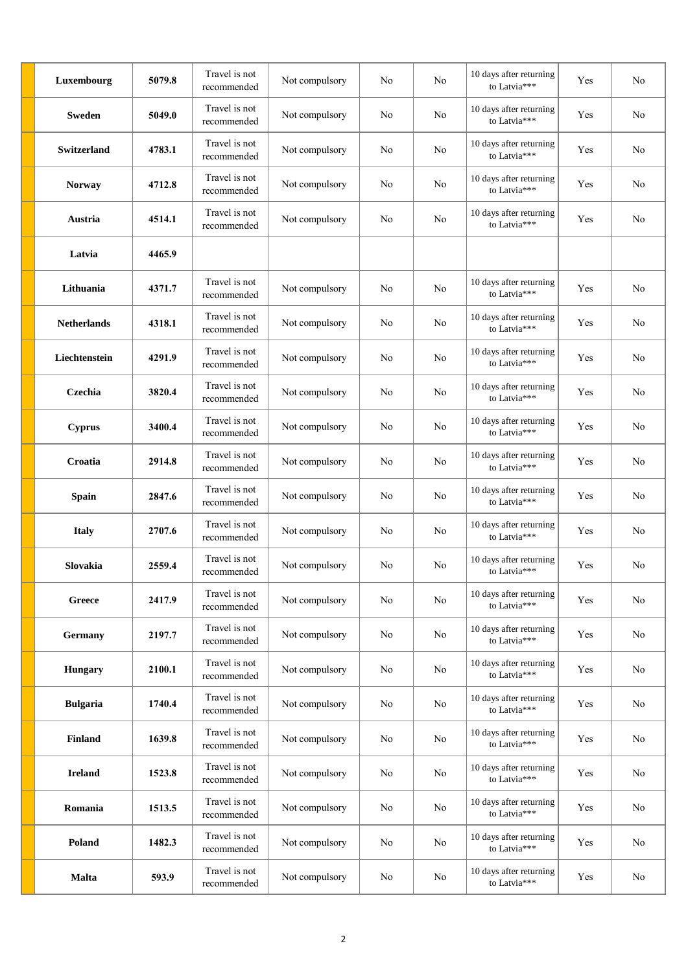| Luxembourg         | 5079.8 | Travel is not<br>recommended | Not compulsory | No             | N <sub>0</sub> | 10 days after returning<br>to Latvia*** | Yes | N <sub>o</sub> |
|--------------------|--------|------------------------------|----------------|----------------|----------------|-----------------------------------------|-----|----------------|
| <b>Sweden</b>      | 5049.0 | Travel is not<br>recommended | Not compulsory | No             | No             | 10 days after returning<br>to Latvia*** | Yes | No             |
| <b>Switzerland</b> | 4783.1 | Travel is not<br>recommended | Not compulsory | No             | No             | 10 days after returning<br>to Latvia*** | Yes | No             |
| <b>Norway</b>      | 4712.8 | Travel is not<br>recommended | Not compulsory | No             | No             | 10 days after returning<br>to Latvia*** | Yes | No             |
| Austria            | 4514.1 | Travel is not<br>recommended | Not compulsory | No             | N <sub>0</sub> | 10 days after returning<br>to Latvia*** | Yes | No             |
| Latvia             | 4465.9 |                              |                |                |                |                                         |     |                |
| Lithuania          | 4371.7 | Travel is not<br>recommended | Not compulsory | No             | No             | 10 days after returning<br>to Latvia*** | Yes | N <sub>o</sub> |
| <b>Netherlands</b> | 4318.1 | Travel is not<br>recommended | Not compulsory | No             | No             | 10 days after returning<br>to Latvia*** | Yes | No             |
| Liechtenstein      | 4291.9 | Travel is not<br>recommended | Not compulsory | No             | No             | 10 days after returning<br>to Latvia*** | Yes | N <sub>o</sub> |
| Czechia            | 3820.4 | Travel is not<br>recommended | Not compulsory | No             | No             | 10 days after returning<br>to Latvia*** | Yes | No             |
| <b>Cyprus</b>      | 3400.4 | Travel is not<br>recommended | Not compulsory | No             | No             | 10 days after returning<br>to Latvia*** | Yes | N <sub>o</sub> |
| Croatia            | 2914.8 | Travel is not<br>recommended | Not compulsory | No             | No             | 10 days after returning<br>to Latvia*** | Yes | No             |
| <b>Spain</b>       | 2847.6 | Travel is not<br>recommended | Not compulsory | No             | No             | 10 days after returning<br>to Latvia*** | Yes | N <sub>o</sub> |
| <b>Italy</b>       | 2707.6 | Travel is not<br>recommended | Not compulsory | No             | No             | 10 days after returning<br>to Latvia*** | Yes | No             |
| Slovakia           | 2559.4 | Travel is not<br>recommended | Not compulsory | No             | No             | 10 days after returning<br>to Latvia*** | Yes | N <sub>o</sub> |
| Greece             | 2417.9 | Travel is not<br>recommended | Not compulsory | N <sub>o</sub> | No             | 10 days after returning<br>to Latvia*** | Yes | No             |
| Germany            | 2197.7 | Travel is not<br>recommended | Not compulsory | No             | No             | 10 days after returning<br>to Latvia*** | Yes | No             |
| <b>Hungary</b>     | 2100.1 | Travel is not<br>recommended | Not compulsory | No             | No             | 10 days after returning<br>to Latvia*** | Yes | No             |
| <b>Bulgaria</b>    | 1740.4 | Travel is not<br>recommended | Not compulsory | No             | No             | 10 days after returning<br>to Latvia*** | Yes | No             |
| <b>Finland</b>     | 1639.8 | Travel is not<br>recommended | Not compulsory | No             | No             | 10 days after returning<br>to Latvia*** | Yes | No             |
| <b>Ireland</b>     | 1523.8 | Travel is not<br>recommended | Not compulsory | No             | No             | 10 days after returning<br>to Latvia*** | Yes | No             |
| Romania            | 1513.5 | Travel is not<br>recommended | Not compulsory | No             | No             | 10 days after returning<br>to Latvia*** | Yes | No             |
| Poland             | 1482.3 | Travel is not<br>recommended | Not compulsory | No             | No             | 10 days after returning<br>to Latvia*** | Yes | No             |
| <b>Malta</b>       | 593.9  | Travel is not<br>recommended | Not compulsory | No             | No             | 10 days after returning<br>to Latvia*** | Yes | No             |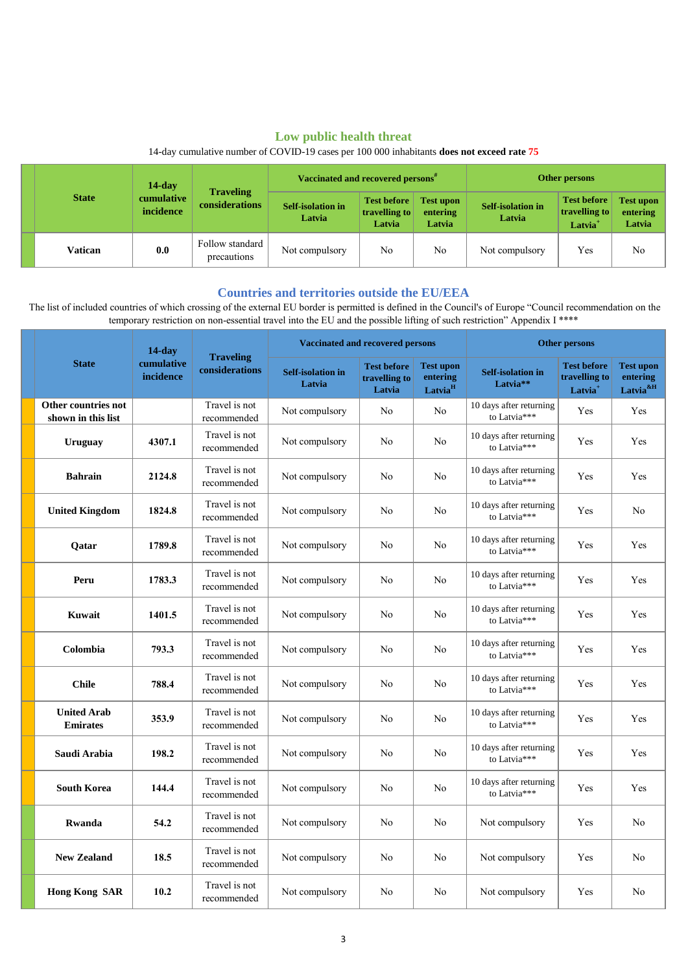# **Low public health threat**

|              | $14$ -day<br>cumulative<br>incidence | <b>Traveling</b><br>considerations | Vaccinated and recovered persons <sup>#</sup> |                                               |                                        | Other persons                      |                                                            |                                        |
|--------------|--------------------------------------|------------------------------------|-----------------------------------------------|-----------------------------------------------|----------------------------------------|------------------------------------|------------------------------------------------------------|----------------------------------------|
| <b>State</b> |                                      |                                    | <b>Self-isolation in</b><br>Latvia            | <b>Test before</b><br>travelling to<br>Latvia | <b>Test upon</b><br>entering<br>Latvia | <b>Self-isolation in</b><br>Latvia | <b>Test before</b><br>travelling to<br>Latvia <sup>+</sup> | <b>Test upon</b><br>entering<br>Latvia |
| Vatican      | 0.0                                  | Follow standard<br>precautions     | Not compulsory                                | No                                            | No                                     | Not compulsory                     | Yes                                                        | N <sub>o</sub>                         |

14-day cumulative number of COVID-19 cases per 100 000 inhabitants **does not exceed rate 75**

## **Countries and territories outside the EU/EEA**

 The list of included countries of which crossing of the external EU border is permitted is defined in the Council's of Europe "Council recommendation on the temporary restriction on non-essential travel into the EU and the possible lifting of such restriction" Appendix I \*\*\*\*

|              |                                           | $14$ -day                          |                                    | <b>Vaccinated and recovered persons</b>       |                                                     |                                                  | <b>Other persons</b>                                       |                                                          |                |  |
|--------------|-------------------------------------------|------------------------------------|------------------------------------|-----------------------------------------------|-----------------------------------------------------|--------------------------------------------------|------------------------------------------------------------|----------------------------------------------------------|----------------|--|
| <b>State</b> | cumulative<br>incidence                   | <b>Traveling</b><br>considerations | <b>Self-isolation in</b><br>Latvia | <b>Test before</b><br>travelling to<br>Latvia | <b>Test upon</b><br>entering<br>Latvia <sup>H</sup> | <b>Self-isolation in</b><br>Latvia <sup>**</sup> | <b>Test before</b><br>travelling to<br>Latvia <sup>+</sup> | <b>Test upon</b><br>entering<br>Latvia <sup>&amp;H</sup> |                |  |
|              | Other countries not<br>shown in this list |                                    | Travel is not<br>recommended       | Not compulsory                                | No                                                  | No                                               | 10 days after returning<br>to Latvia***                    | Yes                                                      | Yes            |  |
|              | <b>Uruguay</b>                            | 4307.1                             | Travel is not<br>recommended       | Not compulsory                                | No                                                  | No                                               | 10 days after returning<br>to Latvia***                    | Yes                                                      | Yes            |  |
|              | <b>Bahrain</b>                            | 2124.8                             | Travel is not<br>recommended       | Not compulsory                                | No                                                  | No                                               | 10 days after returning<br>to Latvia***                    | Yes                                                      | Yes            |  |
|              | <b>United Kingdom</b>                     | 1824.8                             | Travel is not<br>recommended       | Not compulsory                                | No                                                  | No                                               | 10 days after returning<br>to Latvia***                    | Yes                                                      | N <sub>o</sub> |  |
|              | <b>Oatar</b>                              | 1789.8                             | Travel is not<br>recommended       | Not compulsory                                | No                                                  | No                                               | 10 days after returning<br>to Latvia***                    | Yes                                                      | Yes            |  |
|              | Peru                                      | 1783.3                             | Travel is not<br>recommended       | Not compulsory                                | No                                                  | No                                               | 10 days after returning<br>to Latvia***                    | Yes                                                      | Yes            |  |
|              | Kuwait                                    | 1401.5                             | Travel is not<br>recommended       | Not compulsory                                | No                                                  | No                                               | 10 days after returning<br>to Latvia***                    | Yes                                                      | Yes            |  |
|              | Colombia                                  | 793.3                              | Travel is not<br>recommended       | Not compulsory                                | N <sub>0</sub>                                      | No                                               | 10 days after returning<br>to Latvia***                    | Yes                                                      | Yes            |  |
|              | <b>Chile</b>                              | 788.4                              | Travel is not<br>recommended       | Not compulsory                                | No                                                  | No                                               | 10 days after returning<br>to Latvia***                    | Yes                                                      | Yes            |  |
|              | <b>United Arab</b><br><b>Emirates</b>     | 353.9                              | Travel is not<br>recommended       | Not compulsory                                | No                                                  | No                                               | 10 days after returning<br>to Latvia***                    | Yes                                                      | Yes            |  |
|              | Saudi Arabia                              | 198.2                              | Travel is not<br>recommended       | Not compulsory                                | No                                                  | No                                               | 10 days after returning<br>to Latvia***                    | Yes                                                      | Yes            |  |
|              | <b>South Korea</b>                        | 144.4                              | Travel is not<br>recommended       | Not compulsory                                | No                                                  | No                                               | 10 days after returning<br>to Latvia***                    | Yes                                                      | Yes            |  |
|              | Rwanda                                    | 54.2                               | Travel is not<br>recommended       | Not compulsory                                | No                                                  | No                                               | Not compulsory                                             | Yes                                                      | N <sub>o</sub> |  |
|              | <b>New Zealand</b>                        | 18.5                               | Travel is not<br>recommended       | Not compulsory                                | No                                                  | No                                               | Not compulsory                                             | Yes                                                      | No             |  |
|              | <b>Hong Kong SAR</b>                      | 10.2                               | Travel is not<br>recommended       | Not compulsory                                | No                                                  | No                                               | Not compulsory                                             | Yes                                                      | N <sub>o</sub> |  |